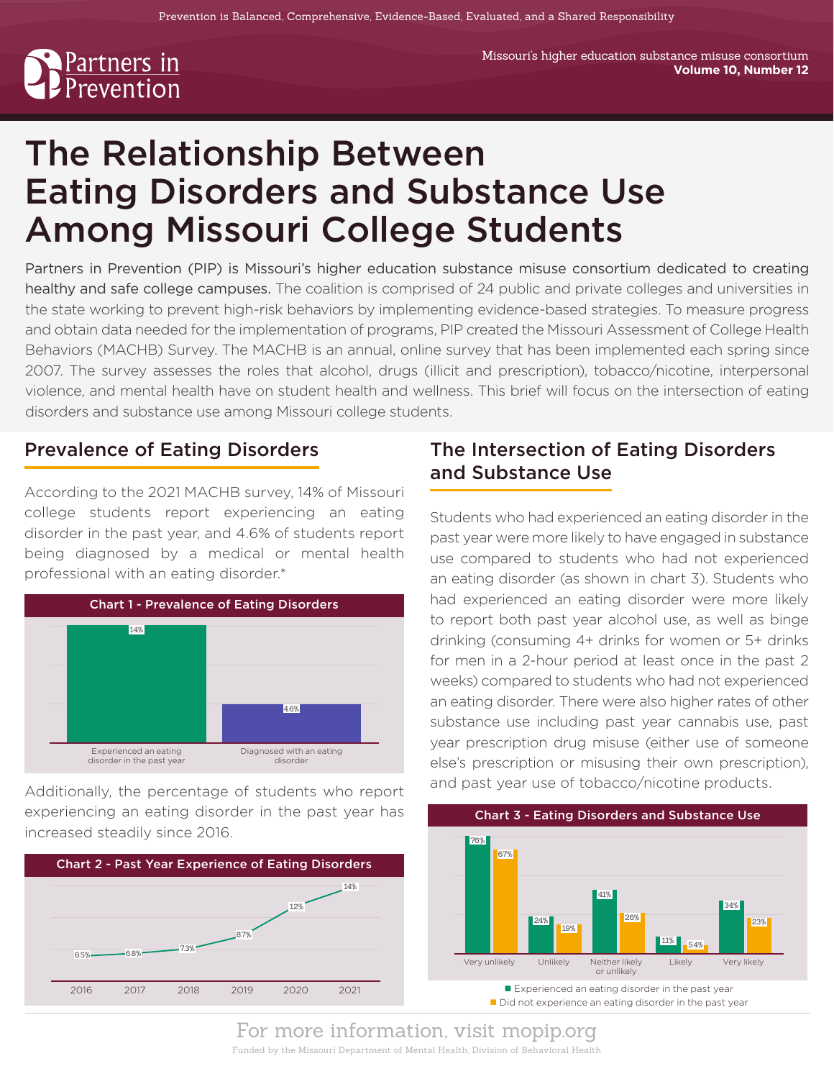# <u>Partners in</u><br>Prevention

# The Relationship Between Eating Disorders and Substance Use Among Missouri College Students

Partners in Prevention (PIP) is Missouri's higher education substance misuse consortium dedicated to creating healthy and safe college campuses. The coalition is comprised of 24 public and private colleges and universities in the state working to prevent high-risk behaviors by implementing evidence-based strategies. To measure progress and obtain data needed for the implementation of programs, PIP created the Missouri Assessment of College Health Behaviors (MACHB) Survey. The MACHB is an annual, online survey that has been implemented each spring since 2007. The survey assesses the roles that alcohol, drugs (illicit and prescription), tobacco/nicotine, interpersonal violence, and mental health have on student health and wellness. This brief will focus on the intersection of eating disorders and substance use among Missouri college students.

# Prevalence of Eating Disorders

According to the 2021 MACHB survey, 14% of Missouri college students report experiencing an eating disorder in the past year, and 4.6% of students report being diagnosed by a medical or mental health professional with an eating disorder.\*



Additionally, the percentage of students who report experiencing an eating disorder in the past year has increased steadily since 2016.



# The Intersection of Eating Disorders and Substance Use

Students who had experienced an eating disorder in the past year were more likely to have engaged in substance use compared to students who had not experienced an eating disorder (as shown in chart 3). Students who had experienced an eating disorder were more likely to report both past year alcohol use, as well as binge drinking (consuming 4+ drinks for women or 5+ drinks for men in a 2-hour period at least once in the past 2 weeks) compared to students who had not experienced an eating disorder. There were also higher rates of other substance use including past year cannabis use, past year prescription drug misuse (either use of someone else's prescription or misusing their own prescription), and past year use of tobacco/nicotine products.

Chart 3 - Eating Disorders and Substance Use



Did not experience an eating disorder in the past year

For more information, visit mopip.org Funded by the Missouri Department of Mental Health, Division of Behavioral Health